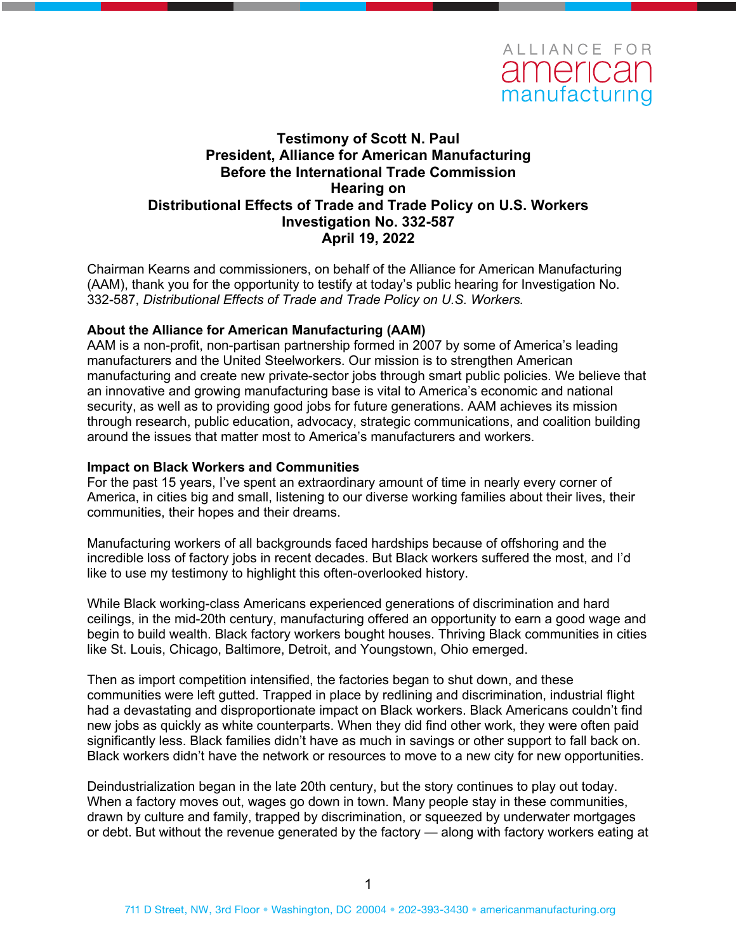

### **Testimony of Scott N. Paul President, Alliance for American Manufacturing Before the International Trade Commission Hearing on Distributional Effects of Trade and Trade Policy on U.S. Workers Investigation No. 332-587 April 19, 2022**

Chairman Kearns and commissioners, on behalf of the Alliance for American Manufacturing (AAM), thank you for the opportunity to testify at today's public hearing for Investigation No. 332-587, *Distributional Effects of Trade and Trade Policy on U.S. Workers.*

### **About the Alliance for American Manufacturing (AAM)**

AAM is a non-profit, non-partisan partnership formed in 2007 by some of America's leading manufacturers and the United Steelworkers. Our mission is to strengthen American manufacturing and create new private-sector jobs through smart public policies. We believe that an innovative and growing manufacturing base is vital to America's economic and national security, as well as to providing good jobs for future generations. AAM achieves its mission through research, public education, advocacy, strategic communications, and coalition building around the issues that matter most to America's manufacturers and workers.

#### **Impact on Black Workers and Communities**

For the past 15 years, I've spent an extraordinary amount of time in nearly every corner of America, in cities big and small, listening to our diverse working families about their lives, their communities, their hopes and their dreams.

Manufacturing workers of all backgrounds faced hardships because of offshoring and the incredible loss of factory jobs in recent decades. But Black workers suffered the most, and I'd like to use my testimony to highlight this often-overlooked history.

While Black working-class Americans experienced generations of discrimination and hard ceilings, in the mid-20th century, manufacturing offered an opportunity to earn a good wage and begin to build wealth. Black factory workers bought houses. Thriving Black communities in cities like St. Louis, Chicago, Baltimore, Detroit, and Youngstown, Ohio emerged.

Then as import competition intensified, the factories began to shut down, and these communities were left gutted. Trapped in place by redlining and discrimination, industrial flight had a devastating and disproportionate impact on Black workers. Black Americans couldn't find new jobs as quickly as white counterparts. When they did find other work, they were often paid significantly less. Black families didn't have as much in savings or other support to fall back on. Black workers didn't have the network or resources to move to a new city for new opportunities.

Deindustrialization began in the late 20th century, but the story continues to play out today. When a factory moves out, wages go down in town. Many people stay in these communities, drawn by culture and family, trapped by discrimination, or squeezed by underwater mortgages or debt. But without the revenue generated by the factory — along with factory workers eating at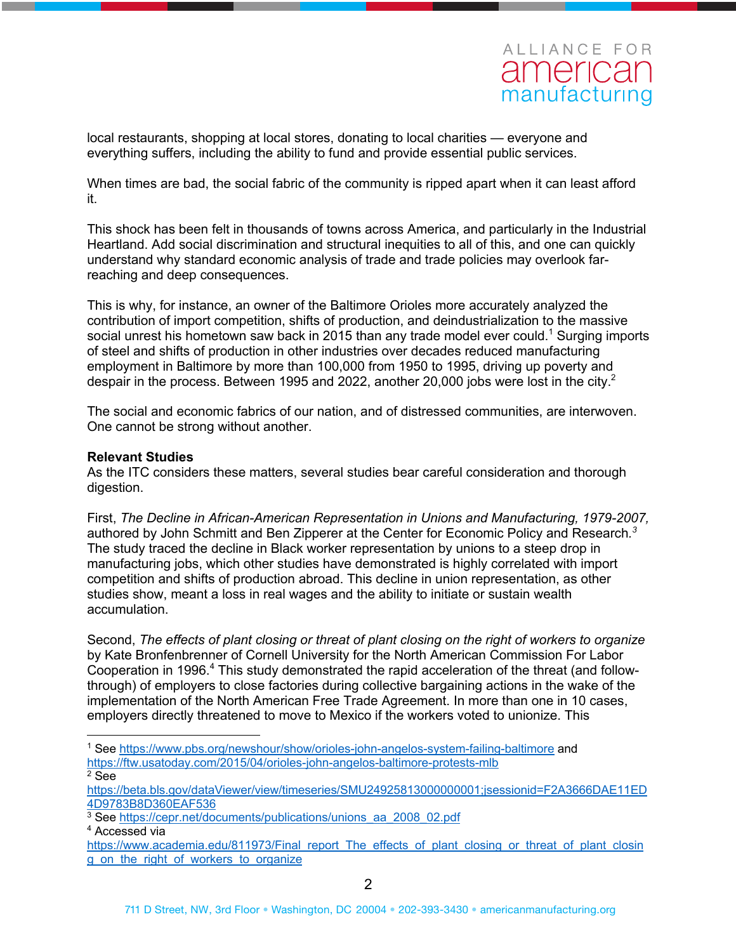# ALLIANCE FOR american manufacturing

local restaurants, shopping at local stores, donating to local charities — everyone and everything suffers, including the ability to fund and provide essential public services.

When times are bad, the social fabric of the community is ripped apart when it can least afford it.

This shock has been felt in thousands of towns across America, and particularly in the Industrial Heartland. Add social discrimination and structural inequities to all of this, and one can quickly understand why standard economic analysis of trade and trade policies may overlook farreaching and deep consequences.

This is why, for instance, an owner of the Baltimore Orioles more accurately analyzed the contribution of import competition, shifts of production, and deindustrialization to the massive social unrest his hometown saw back in 2015 than any trade model ever could.<sup>1</sup> Surging imports of steel and shifts of production in other industries over decades reduced manufacturing employment in Baltimore by more than 100,000 from 1950 to 1995, driving up poverty and despair in the process. Between 1995 and 2022, another 20,000 jobs were lost in the city.<sup>2</sup>

The social and economic fabrics of our nation, and of distressed communities, are interwoven. One cannot be strong without another.

### **Relevant Studies**

As the ITC considers these matters, several studies bear careful consideration and thorough digestion.

First, *The Decline in African-American Representation in Unions and Manufacturing, 1979-2007,* authored by John Schmitt and Ben Zipperer at the Center for Economic Policy and Research*. 3* The study traced the decline in Black worker representation by unions to a steep drop in manufacturing jobs, which other studies have demonstrated is highly correlated with import competition and shifts of production abroad. This decline in union representation, as other studies show, meant a loss in real wages and the ability to initiate or sustain wealth accumulation.

Second, *The effects of plant closing or threat of plant closing on the right of workers to organize* by Kate Bronfenbrenner of Cornell University for the North American Commission For Labor Cooperation in 1996.<sup>4</sup> This study demonstrated the rapid acceleration of the threat (and followthrough) of employers to close factories during collective bargaining actions in the wake of the implementation of the North American Free Trade Agreement. In more than one in 10 cases, employers directly threatened to move to Mexico if the workers voted to unionize. This

<sup>3</sup> See https://cepr.net/documents/publications/unions\_aa\_2008\_02.pdf <sup>4</sup> Accessed via

<sup>1</sup> See https://www.pbs.org/newshour/show/orioles-john-angelos-system-failing-baltimore and https://ftw.usatoday.com/2015/04/orioles-john-angelos-baltimore-protests-mlb <sup>2</sup> See

https://beta.bls.gov/dataViewer/view/timeseries/SMU24925813000000001;jsessionid=F2A3666DAE11ED 4D9783B8D360EAF536

https://www.academia.edu/811973/Final\_report\_The\_effects\_of\_plant\_closing\_or\_threat\_of\_plant\_closin g\_on\_the\_right\_of\_workers\_to\_organize